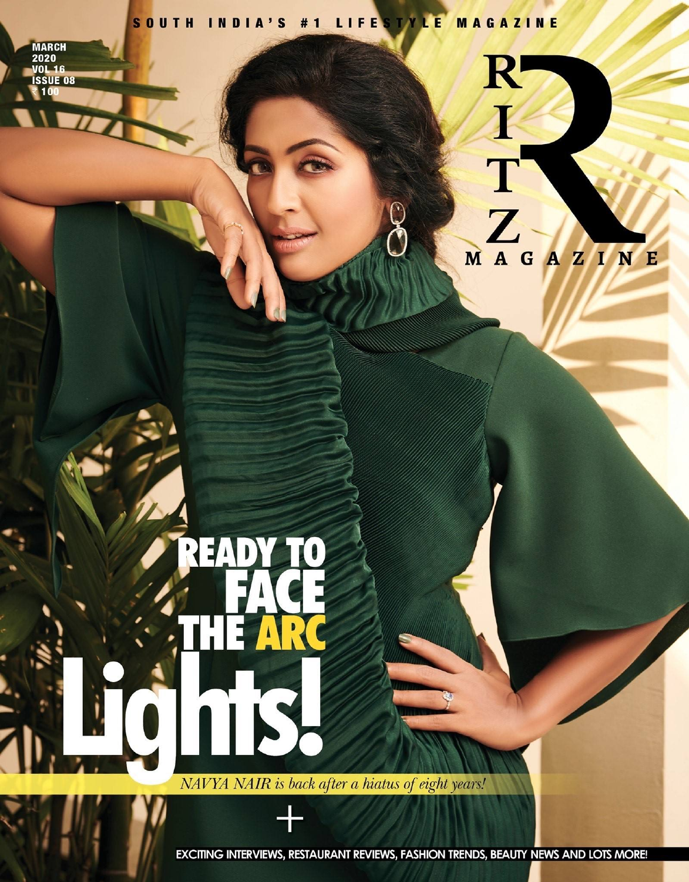## SOUTH INDIA'S #1 LIFESTYLE MAGAZINE

**MARCH<br>
2020<br>
VOL 16<br>
ISSUE 08** 100

T T T MAGAZINE

R

## $\bullet$  $\blacksquare$

NAVYA NAIR is back after a hiatus of eight years!

EXCITING INTERVIEWS, RESTAURANT REVIEWS, FASHION TRENDS, BEAUTY NEWS AND LOTS MORE!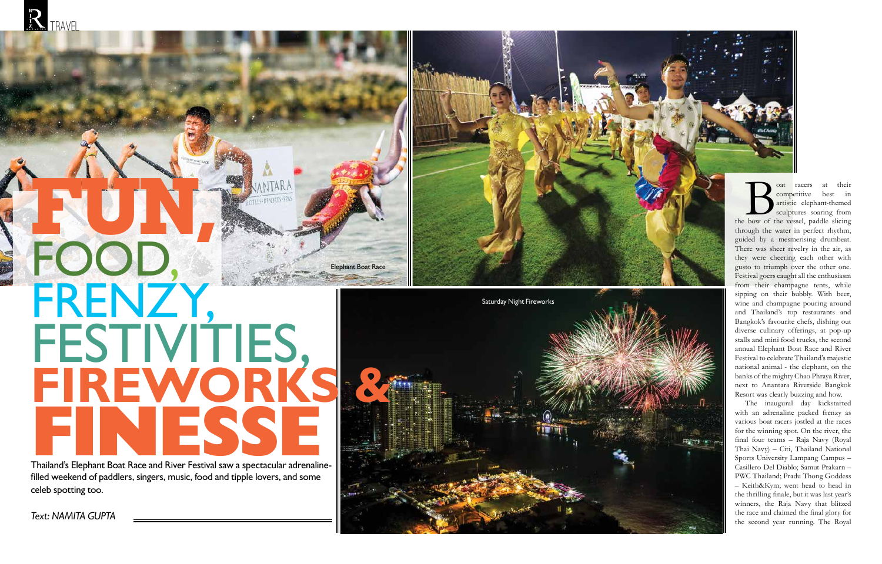**filled weekend of paddlers, singers, music, food and tipple lovers, and some celeb spotting too.**



*Text: NAMITA GUPTA*

at racers at their<br>
competitive best in<br>
artistic elephant-themed<br>
sculptures soaring from<br>
the bow of the vessel, paddle slicing competitive best in artistic elephant-themed sculptures soaring from through the water in perfect rhythm, guided by a mesmerising drumbeat. There was sheer revelry in the air, as they were cheering each other with gusto to triumph over the other one. Festival goers caught all the enthusiasm from their champagne tents, while sipping on their bubbly. With beer, wine and champagne pouring around and Thailand's top restaurants and Bangkok's favourite chefs, dishing out diverse culinary offerings, at pop-up stalls and mini food trucks, the second annual Elephant Boat Race and River Festival to celebrate Thailand's majestic national animal - the elephant, on the banks of the mighty Chao Phraya River, next to Anantara Riverside Bangkok Resort was clearly buzzing and how.



The inaugural day kickstarted with an adrenaline packed frenzy as various boat racers jostled at the races for the winning spot. On the river, the final four teams – Raja Navy (Royal Thai Navy) – Citi, Thailand National Sports University Lampang Campus – Casillero Del Diablo; Samut Prakarn – PWC Thailand; Pradu Thong Goddess – Keith&Kym; went head to head in the thrilling finale, but it was last year's winners, the Raja Navy that blitzed the race and claimed the final glory for the second year running. The Royal